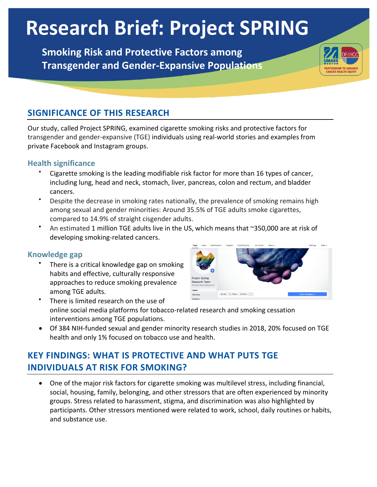# **Research Brief: Project SPRING**

**Smoking Risk and Protective Factors among Transgender and Gender-Expansive Populations**

## **SIGNIFICANCE OF THIS RESEARCH**

Our study, called Project SPRING, examined cigarette smoking risks and protective factors for transgender and gender-expansive (TGE) individuals using real-world stories and examples from private Facebook and Instagram groups.

#### **Health significance**

- Cigarette smoking is the leading modifiable risk factor for more than 16 types of cancer, including lung, head and neck, stomach, liver, pancreas, colon and rectum, and bladder cancers.
- Despite the decrease in smoking rates nationally, the prevalence of smoking remains high among sexual and gender minorities: Around 35.5% of TGE adults smoke cigarettes, compared to 14.9% of straight cisgender adults.
- An estimated 1 million TGE adults live in the US, which means that ~350,000 are at risk of developing smoking-related cancers.

#### **Knowledge gap**

There is a critical knowledge gap on smoking habits and effective, culturally responsive approaches to reduce smoking prevalence among TGE adults.



- There is limited research on the use of online social media platforms for tobacco-related research and smoking cessation interventions among TGE populations.
- Of 384 NIH-funded sexual and gender minority research studies in 2018, 20% focused on TGE health and only 1% focused on tobacco use and health.

# **KEY FINDINGS: WHAT IS PROTECTIVE AND WHAT PUTS TGE INDIVIDUALS AT RISK FOR SMOKING?**

• One of the major risk factors for cigarette smoking was multilevel stress, including financial, social, housing, family, belonging, and other stressors that are often experienced by minority groups. Stress related to harassment, stigma, and discrimination was also highlighted by participants. Other stressors mentioned were related to work, school, daily routines or habits, and substance use.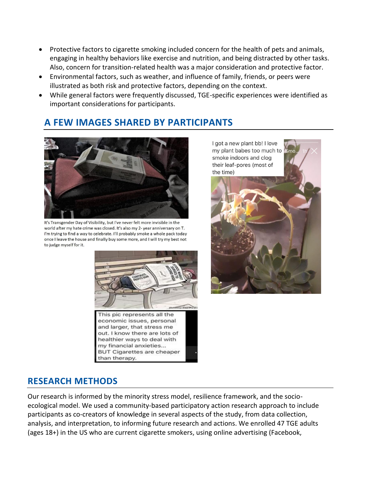- Protective factors to cigarette smoking included concern for the health of pets and animals, engaging in healthy behaviors like exercise and nutrition, and being distracted by other tasks. Also, concern for transition-related health was a major consideration and protective factor.
- Environmental factors, such as weather, and influence of family, friends, or peers were illustrated as both risk and protective factors, depending on the context.
- While general factors were frequently discussed, TGE-specific experiences were identified as important considerations for participants.

# **A FEW IMAGES SHARED BY PARTICIPANTS**



It's Transgender Day of Visibility, but I've never felt more invisible in the world after my hate crime was closed. It's also my 2- year anniversary on T. I'm trying to find a way to celebrate. I'll probably smoke a whole pack today once I leave the house and finally buy some more, and I will try my best not to judge myself for it.



BUT Cigarettes are cheaper

than therapy.

I got a new plant bb! I love my plant babes too much to smoke indoors and clog their leaf-pores (most of the time)



#### **RESEARCH METHODS**

Our research is informed by the minority stress model, resilience framework, and the socioecological model. We used a community-based participatory action research approach to include participants as co-creators of knowledge in several aspects of the study, from data collection, analysis, and interpretation, to informing future research and actions. We enrolled 47 TGE adults (ages 18+) in the US who are current cigarette smokers, using online advertising (Facebook,